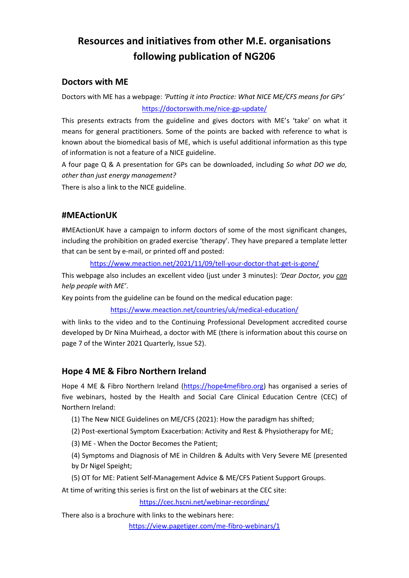# **Resources and initiatives from other M.E. organisations following publication of NG206**

### **Doctors with ME**

Doctors with ME has a webpage: *'Putting it into Practice: What NICE ME/CFS means for GPs'* <https://doctorswith.me/nice-gp-update/>

This presents extracts from the guideline and gives doctors with ME's 'take' on what it means for general practitioners. Some of the points are backed with reference to what is known about the biomedical basis of ME, which is useful additional information as this type of information is not a feature of a NICE guideline.

A four page Q & A presentation for GPs can be downloaded, including *So what DO we do, other than just energy management?*

There is also a link to the NICE guideline.

### **#MEActionUK**

#MEActionUK have a campaign to inform doctors of some of the most significant changes, including the prohibition on graded exercise 'therapy'. They have prepared a template letter that can be sent by e-mail, or printed off and posted:

<https://www.meaction.net/2021/11/09/tell-your-doctor-that-get-is-gone/>

This webpage also includes an excellent video (just under 3 minutes): *'Dear Doctor, you can help people with ME'*.

Key points from the guideline can be found on the medical education page:

#### <https://www.meaction.net/countries/uk/medical-education/>

with links to the video and to the Continuing Professional Development accredited course developed by Dr Nina Muirhead, a doctor with ME (there is information about this course on page 7 of the Winter 2021 Quarterly, Issue 52).

### **Hope 4 ME & Fibro Northern Ireland**

Hope 4 ME & Fibro Northern Ireland [\(https://hope4mefibro.org\)](https://hope4mefibro.org/) has organised a series of five webinars, hosted by the Health and Social Care Clinical Education Centre (CEC) of Northern Ireland:

(1) The New NICE Guidelines on ME/CFS (2021): How the paradigm has shifted;

(2) Post-exertional Symptom Exacerbation: Activity and Rest & Physiotherapy for ME;

(3) ME - When the Doctor Becomes the Patient;

(4) Symptoms and Diagnosis of ME in Children & Adults with Very Severe ME (presented by Dr Nigel Speight;

(5) OT for ME: Patient Self-Management Advice & ME/CFS Patient Support Groups.

At time of writing this series is first on the list of webinars at the CEC site:

<https://cec.hscni.net/webinar-recordings/>

There also is a brochure with links to the webinars here:

<https://view.pagetiger.com/me-fibro-webinars/1>